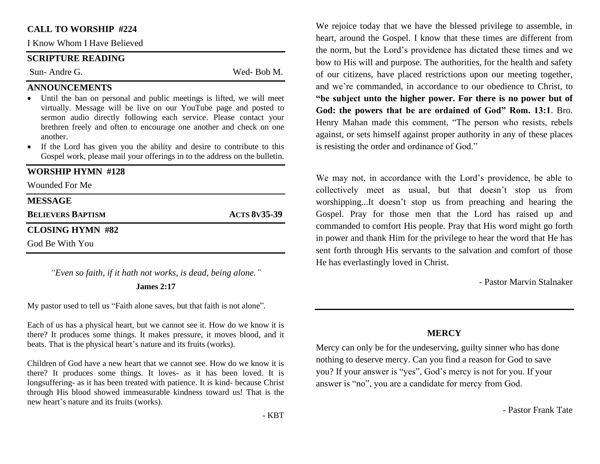### **CALL TO WORSHIP #224**

I Know Whom I Have Believed

## **SCRIPTURE READING**

Sun- Andre G. Wed- Bob M.

#### **ANNOUNCEMENTS**

- Until the ban on personal and public meetings is lifted, we will meet virtually. Message will be live on our YouTube page and posted to sermon audio directly following each service. Please contact your brethren freely and often to encourage one another and check on one another.
- If the Lord has given you the ability and desire to contribute to this Gospel work, please mail your offerings in to the address on the bulletin.

### **WORSHIP HYMN #128**

Wounded For Me

| <b>MESSAGE</b>           |                     |
|--------------------------|---------------------|
| <b>BELIEVERS BAPTISM</b> | <b>ACTS 8v35-39</b> |
| CLOSING HYMN #82         |                     |
| God Be With You          |                     |

*"Even so faith, if it hath not works, is dead, being alone."*

#### **James 2:17**

My pastor used to tell us "Faith alone saves, but that faith is not alone".

Each of us has a physical heart, but we cannot see it. How do we know it is there? It produces some things. It makes pressure, it moves blood, and it beats. That is the physical heart's nature and its fruits (works).

Children of God have a new heart that we cannot see. How do we know it is there? It produces some things. It loves- as it has been loved. It is longsuffering- as it has been treated with patience. It is kind- because Christ through His blood showed immeasurable kindness toward us! That is the new heart's nature and its fruits (works).

We rejoice today that we have the blessed privilege to assemble, in heart, around the Gospel. I know that these times are different from the norm, but the Lord's providence has dictated these times and we bow to His will and purpose. The authorities, for the health and safety of our citizens, have placed restrictions upon our meeting together, and we're commanded, in accordance to our obedience to Christ, to **"be subject unto the higher power. For there is no power but of God: the powers that be are ordained of God" Rom. 13:1**. Bro. Henry Mahan made this comment, "The person who resists, rebels against, or sets himself against proper authority in any of these places is resisting the order and ordinance of God."

We may not, in accordance with the Lord's providence, be able to collectively meet as usual, but that doesn't stop us from worshipping...It doesn't stop us from preaching and hearing the Gospel. Pray for those men that the Lord has raised up and commanded to comfort His people. Pray that His word might go forth in power and thank Him for the privilege to hear the word that He has sent forth through His servants to the salvation and comfort of those He has everlastingly loved in Christ.

- Pastor Marvin Stalnaker

#### **MERCY**

Mercy can only be for the undeserving, guilty sinner who has done nothing to deserve mercy. Can you find a reason for God to save you? If your answer is "yes", God's mercy is not for you. If your answer is "no", you are a candidate for mercy from God.